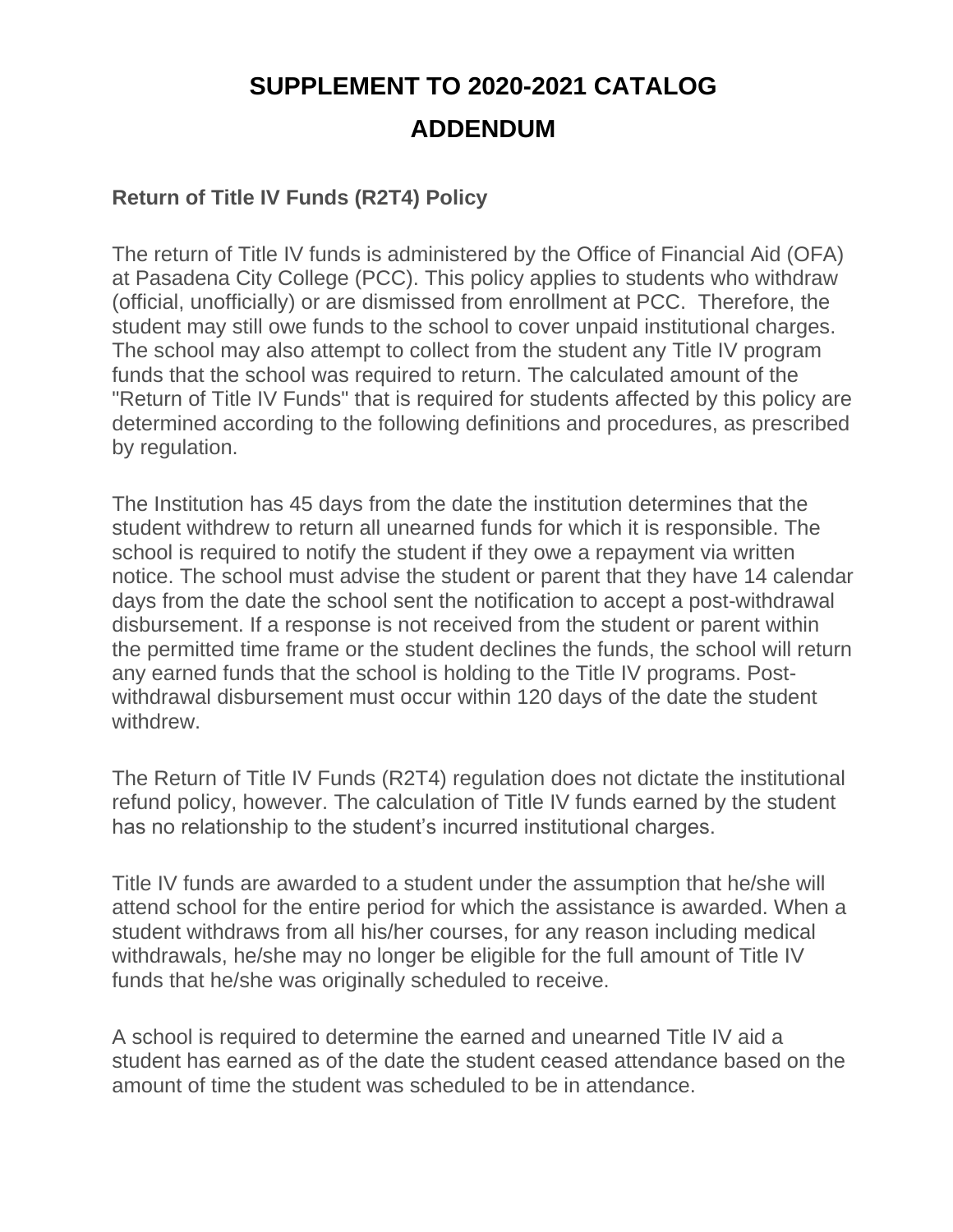# **SUPPLEMENT TO 2020-2021 CATALOG ADDENDUM**

## **Return of Title IV Funds (R2T4) Policy**

The return of Title IV funds is administered by the Office of Financial Aid (OFA) at Pasadena City College (PCC). This policy applies to students who withdraw (official, unofficially) or are dismissed from enrollment at PCC. Therefore, the student may still owe funds to the school to cover unpaid institutional charges. The school may also attempt to collect from the student any Title IV program funds that the school was required to return. The calculated amount of the "Return of Title IV Funds" that is required for students affected by this policy are determined according to the following definitions and procedures, as prescribed by regulation.

The Institution has 45 days from the date the institution determines that the student withdrew to return all unearned funds for which it is responsible. The school is required to notify the student if they owe a repayment via written notice. The school must advise the student or parent that they have 14 calendar days from the date the school sent the notification to accept a post-withdrawal disbursement. If a response is not received from the student or parent within the permitted time frame or the student declines the funds, the school will return any earned funds that the school is holding to the Title IV programs. Postwithdrawal disbursement must occur within 120 days of the date the student withdrew.

The Return of Title IV Funds (R2T4) regulation does not dictate the institutional refund policy, however. The calculation of Title IV funds earned by the student has no relationship to the student's incurred institutional charges.

Title IV funds are awarded to a student under the assumption that he/she will attend school for the entire period for which the assistance is awarded. When a student withdraws from all his/her courses, for any reason including medical withdrawals, he/she may no longer be eligible for the full amount of Title IV funds that he/she was originally scheduled to receive.

A school is required to determine the earned and unearned Title IV aid a student has earned as of the date the student ceased attendance based on the amount of time the student was scheduled to be in attendance.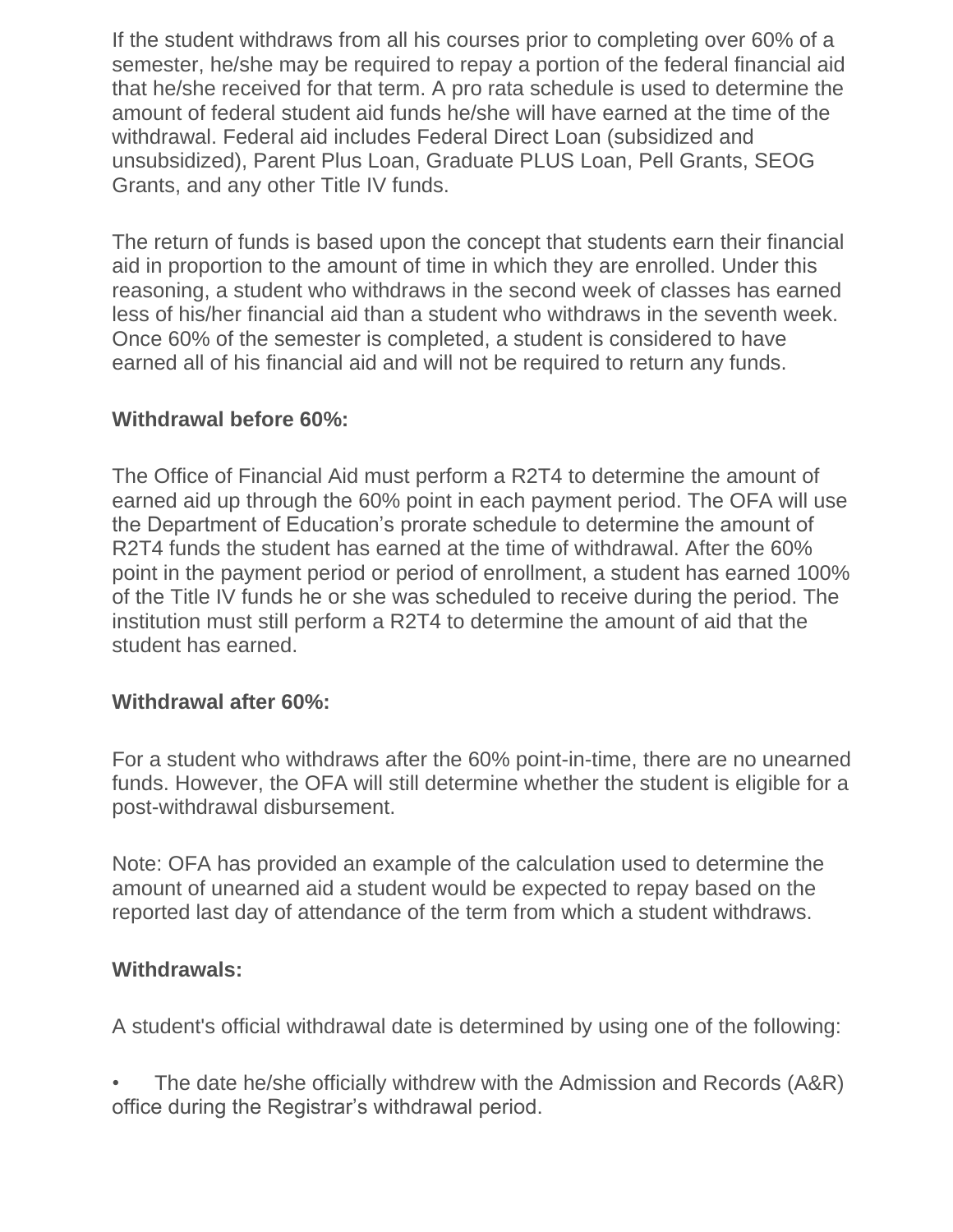If the student withdraws from all his courses prior to completing over 60% of a semester, he/she may be required to repay a portion of the federal financial aid that he/she received for that term. A pro rata schedule is used to determine the amount of federal student aid funds he/she will have earned at the time of the withdrawal. Federal aid includes Federal Direct Loan (subsidized and unsubsidized), Parent Plus Loan, Graduate PLUS Loan, Pell Grants, SEOG Grants, and any other Title IV funds.

The return of funds is based upon the concept that students earn their financial aid in proportion to the amount of time in which they are enrolled. Under this reasoning, a student who withdraws in the second week of classes has earned less of his/her financial aid than a student who withdraws in the seventh week. Once 60% of the semester is completed, a student is considered to have earned all of his financial aid and will not be required to return any funds.

#### **Withdrawal before 60%:**

The Office of Financial Aid must perform a R2T4 to determine the amount of earned aid up through the 60% point in each payment period. The OFA will use the Department of Education's prorate schedule to determine the amount of R2T4 funds the student has earned at the time of withdrawal. After the 60% point in the payment period or period of enrollment, a student has earned 100% of the Title IV funds he or she was scheduled to receive during the period. The institution must still perform a R2T4 to determine the amount of aid that the student has earned.

#### **Withdrawal after 60%:**

For a student who withdraws after the 60% point-in-time, there are no unearned funds. However, the OFA will still determine whether the student is eligible for a post-withdrawal disbursement.

Note: OFA has provided an example of the calculation used to determine the amount of unearned aid a student would be expected to repay based on the reported last day of attendance of the term from which a student withdraws.

#### **Withdrawals:**

A student's official withdrawal date is determined by using one of the following:

• The date he/she officially withdrew with the Admission and Records (A&R) office during the Registrar's withdrawal period.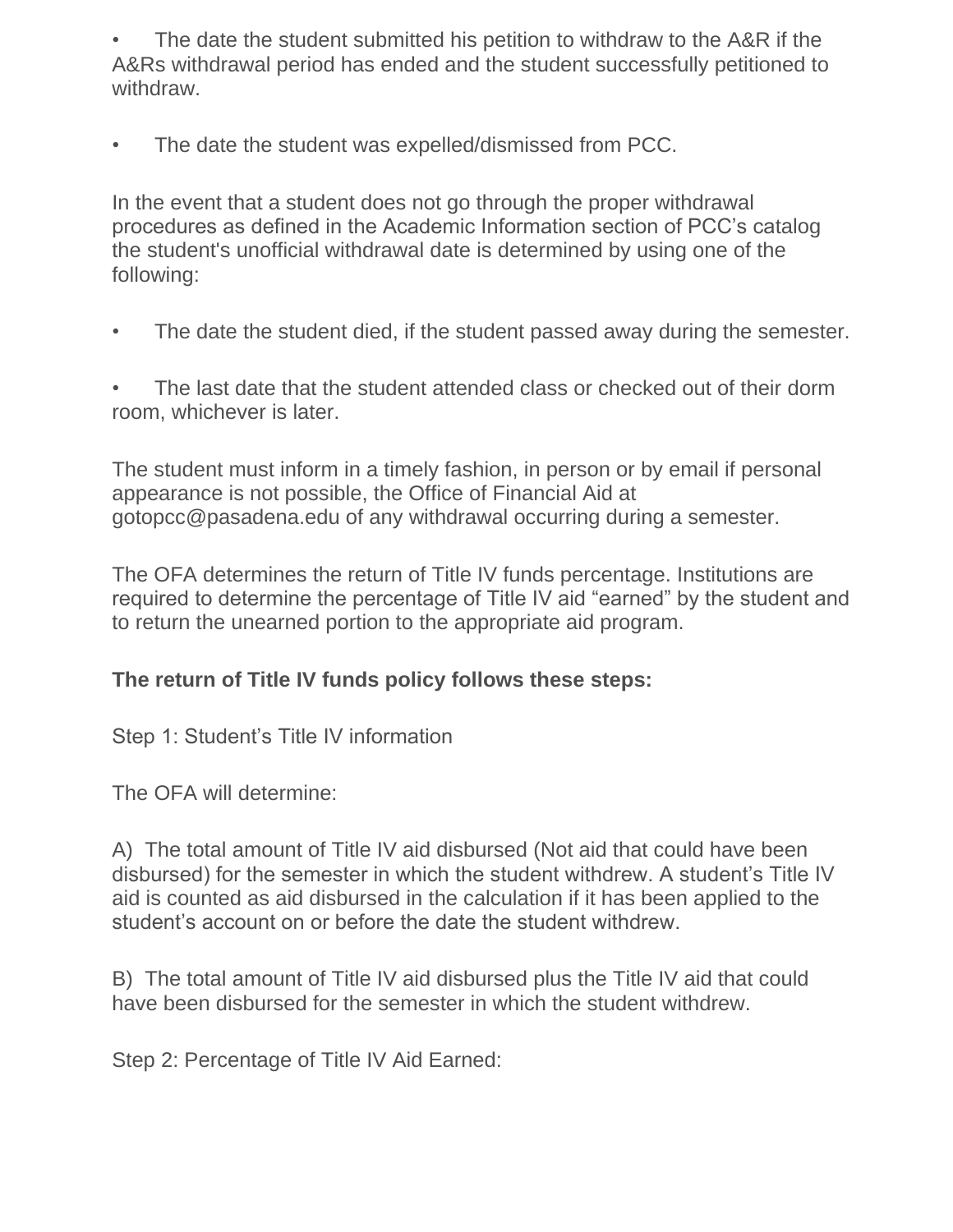The date the student submitted his petition to withdraw to the A&R if the A&Rs withdrawal period has ended and the student successfully petitioned to withdraw.

• The date the student was expelled/dismissed from PCC.

In the event that a student does not go through the proper withdrawal procedures as defined in the Academic Information section of PCC's catalog the student's unofficial withdrawal date is determined by using one of the following:

• The date the student died, if the student passed away during the semester.

The last date that the student attended class or checked out of their dorm room, whichever is later.

The student must inform in a timely fashion, in person or by email if personal appearance is not possible, the Office of Financial Aid at gotopcc@pasadena.edu of any withdrawal occurring during a semester.

The OFA determines the return of Title IV funds percentage. Institutions are required to determine the percentage of Title IV aid "earned" by the student and to return the unearned portion to the appropriate aid program.

#### **The return of Title IV funds policy follows these steps:**

Step 1: Student's Title IV information

The OFA will determine:

A) The total amount of Title IV aid disbursed (Not aid that could have been disbursed) for the semester in which the student withdrew. A student's Title IV aid is counted as aid disbursed in the calculation if it has been applied to the student's account on or before the date the student withdrew.

B) The total amount of Title IV aid disbursed plus the Title IV aid that could have been disbursed for the semester in which the student withdrew.

Step 2: Percentage of Title IV Aid Earned: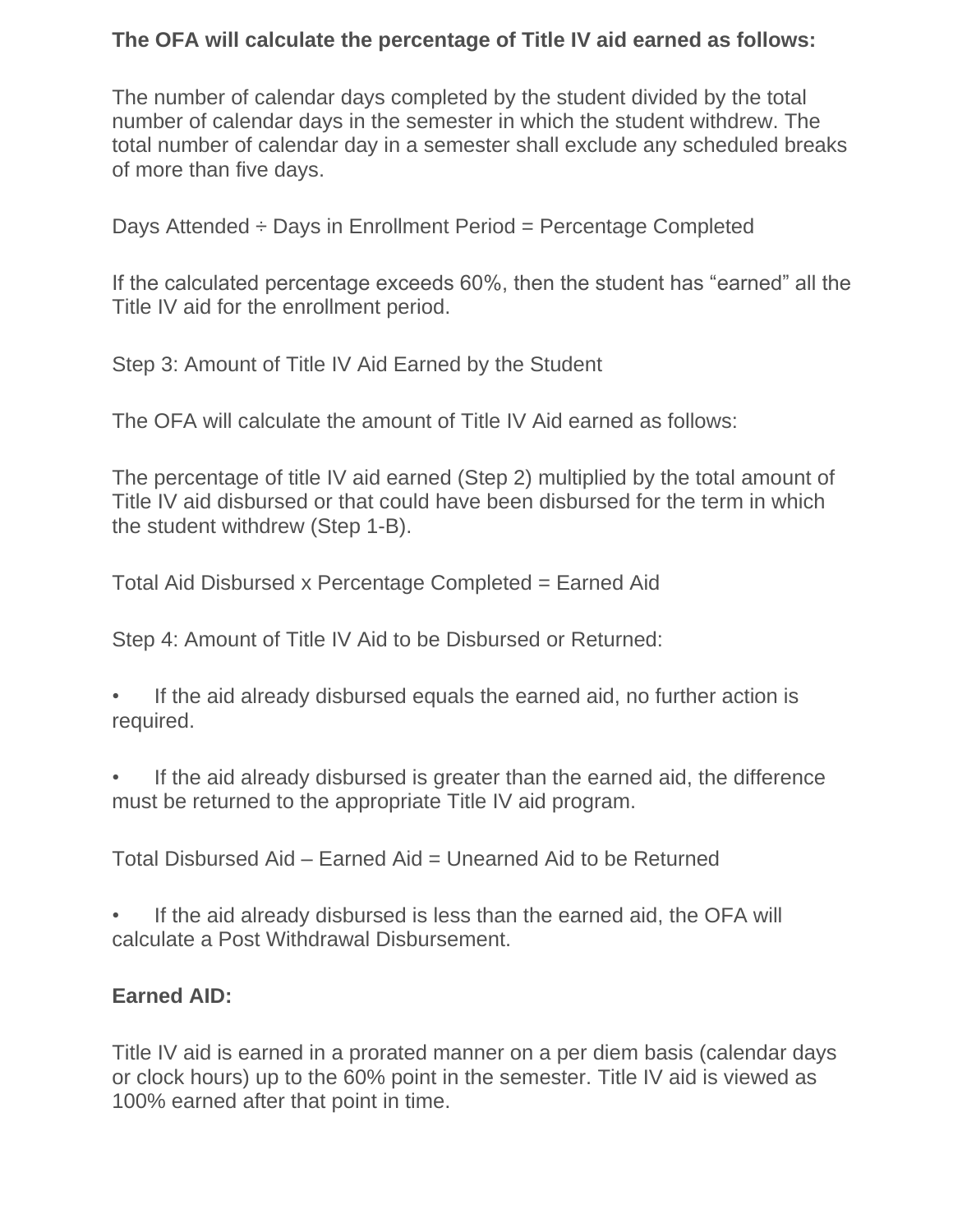## **The OFA will calculate the percentage of Title IV aid earned as follows:**

The number of calendar days completed by the student divided by the total number of calendar days in the semester in which the student withdrew. The total number of calendar day in a semester shall exclude any scheduled breaks of more than five days.

Days Attended ÷ Days in Enrollment Period = Percentage Completed

If the calculated percentage exceeds 60%, then the student has "earned" all the Title IV aid for the enrollment period.

Step 3: Amount of Title IV Aid Earned by the Student

The OFA will calculate the amount of Title IV Aid earned as follows:

The percentage of title IV aid earned (Step 2) multiplied by the total amount of Title IV aid disbursed or that could have been disbursed for the term in which the student withdrew (Step 1-B).

Total Aid Disbursed x Percentage Completed = Earned Aid

Step 4: Amount of Title IV Aid to be Disbursed or Returned:

If the aid already disbursed equals the earned aid, no further action is required.

If the aid already disbursed is greater than the earned aid, the difference must be returned to the appropriate Title IV aid program.

Total Disbursed Aid – Earned Aid = Unearned Aid to be Returned

If the aid already disbursed is less than the earned aid, the OFA will calculate a Post Withdrawal Disbursement.

#### **Earned AID:**

Title IV aid is earned in a prorated manner on a per diem basis (calendar days or clock hours) up to the 60% point in the semester. Title IV aid is viewed as 100% earned after that point in time.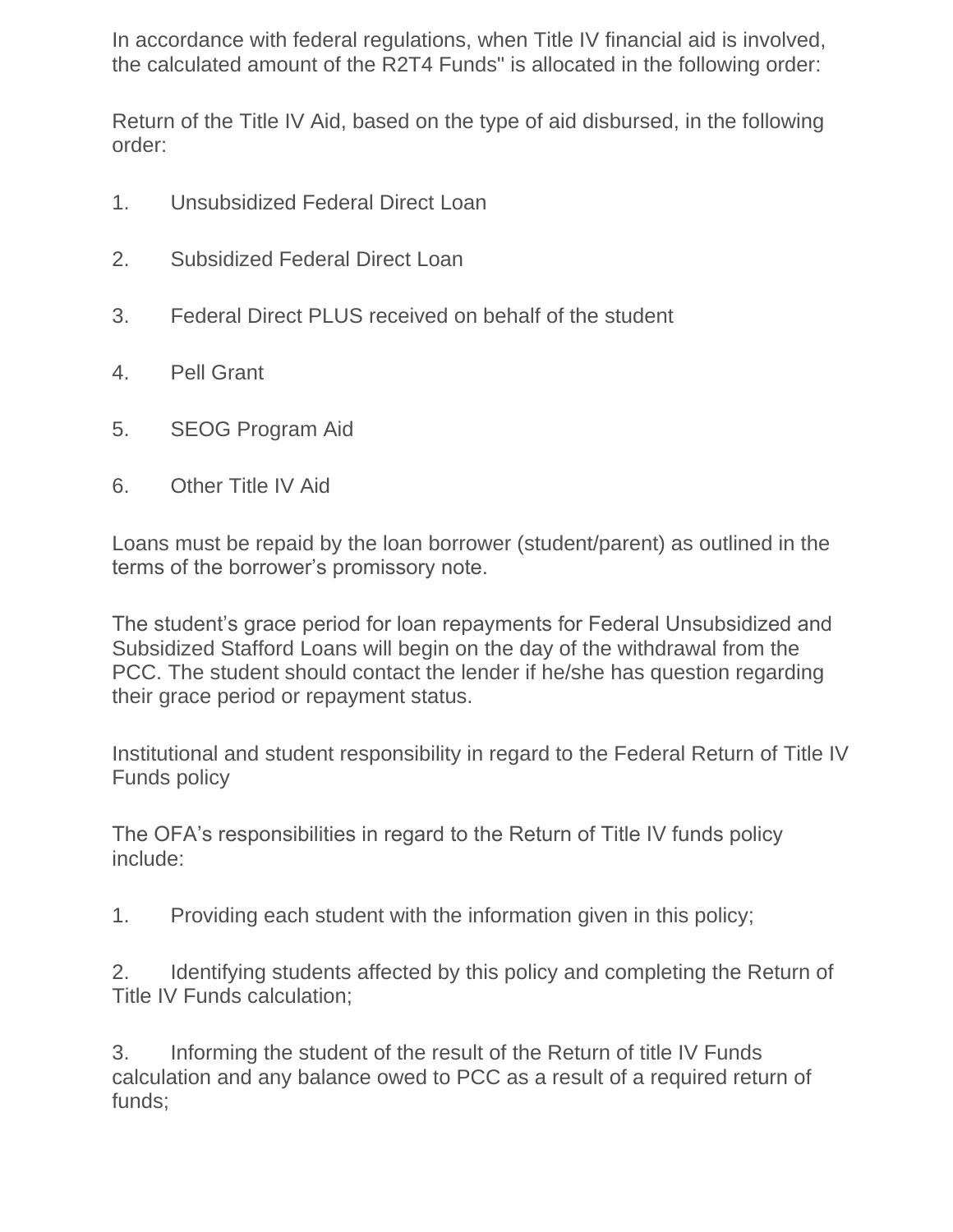In accordance with federal regulations, when Title IV financial aid is involved, the calculated amount of the R2T4 Funds" is allocated in the following order:

Return of the Title IV Aid, based on the type of aid disbursed, in the following order:

- 1. Unsubsidized Federal Direct Loan
- 2. Subsidized Federal Direct Loan
- 3. Federal Direct PLUS received on behalf of the student
- 4. Pell Grant
- 5. SEOG Program Aid
- 6. Other Title IV Aid

Loans must be repaid by the loan borrower (student/parent) as outlined in the terms of the borrower's promissory note.

The student's grace period for loan repayments for Federal Unsubsidized and Subsidized Stafford Loans will begin on the day of the withdrawal from the PCC. The student should contact the lender if he/she has question regarding their grace period or repayment status.

Institutional and student responsibility in regard to the Federal Return of Title IV Funds policy

The OFA's responsibilities in regard to the Return of Title IV funds policy include:

1. Providing each student with the information given in this policy;

2. Identifying students affected by this policy and completing the Return of Title IV Funds calculation;

3. Informing the student of the result of the Return of title IV Funds calculation and any balance owed to PCC as a result of a required return of funds;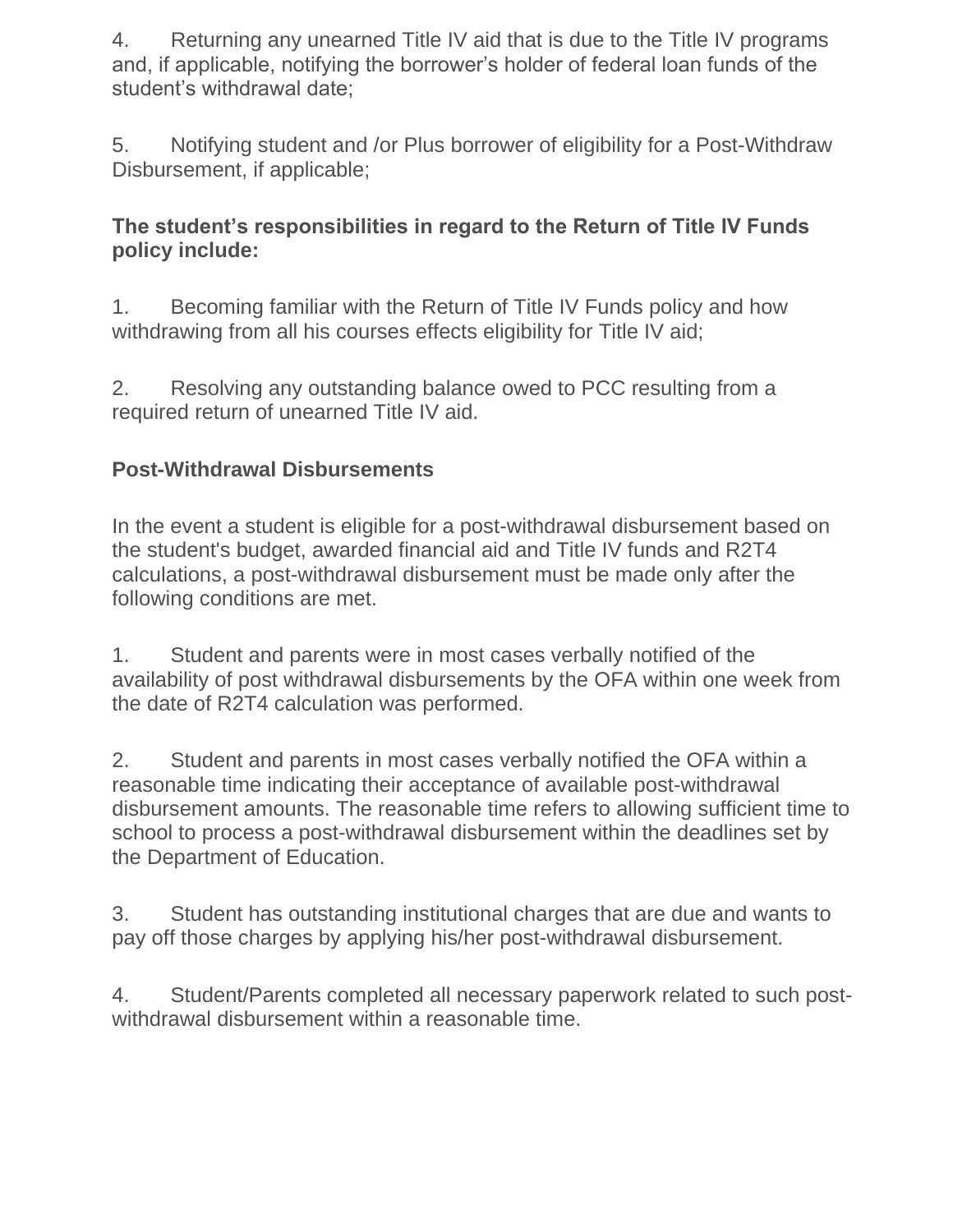4. Returning any unearned Title IV aid that is due to the Title IV programs and, if applicable, notifying the borrower's holder of federal loan funds of the student's withdrawal date;

5. Notifying student and /or Plus borrower of eligibility for a Post-Withdraw Disbursement, if applicable;

## **The student's responsibilities in regard to the Return of Title IV Funds policy include:**

1. Becoming familiar with the Return of Title IV Funds policy and how withdrawing from all his courses effects eligibility for Title IV aid;

2. Resolving any outstanding balance owed to PCC resulting from a required return of unearned Title IV aid.

# **Post-Withdrawal Disbursements**

In the event a student is eligible for a post-withdrawal disbursement based on the student's budget, awarded financial aid and Title IV funds and R2T4 calculations, a post-withdrawal disbursement must be made only after the following conditions are met.

1. Student and parents were in most cases verbally notified of the availability of post withdrawal disbursements by the OFA within one week from the date of R2T4 calculation was performed.

2. Student and parents in most cases verbally notified the OFA within a reasonable time indicating their acceptance of available post-withdrawal disbursement amounts. The reasonable time refers to allowing sufficient time to school to process a post-withdrawal disbursement within the deadlines set by the Department of Education.

3. Student has outstanding institutional charges that are due and wants to pay off those charges by applying his/her post-withdrawal disbursement.

4. Student/Parents completed all necessary paperwork related to such postwithdrawal disbursement within a reasonable time.